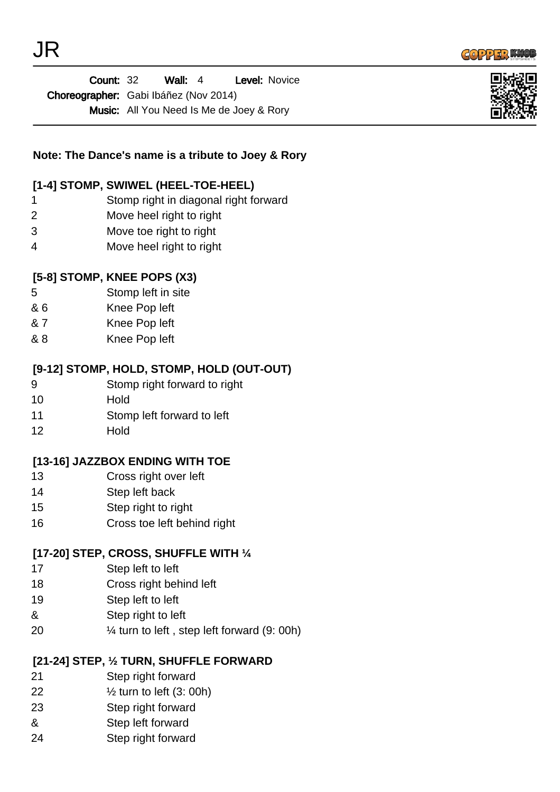



Wall: 4 Level: Novice Choreographer: Gabi Ibáñez (Nov 2014) Music: All You Need Is Me de Joey & Rory Count: 32



## **Note: The Dance's name is a tribute to Joey & Rory**

#### **[1-4] STOMP, SWIWEL (HEEL-TOE-HEEL)**

- 1 Stomp right in diagonal right forward
- 2 Move heel right to right
- 3 Move toe right to right
- 4 Move heel right to right

#### **[5-8] STOMP, KNEE POPS (X3)**

- 5 Stomp left in site
- & 6 Knee Pop left
- & 7 Knee Pop left
- & 8 Knee Pop left

#### **[9-12] STOMP, HOLD, STOMP, HOLD (OUT-OUT)**

- 9 Stomp right forward to right
- 10 Hold
- 11 Stomp left forward to left
- 12 Hold

#### **[13-16] JAZZBOX ENDING WITH TOE**

- 13 Cross right over left
- 14 Step left back
- 15 Step right to right
- 16 Cross toe left behind right

#### **[17-20] STEP, CROSS, SHUFFLE WITH ¼**

- 17 Step left to left
- 18 Cross right behind left
- 19 Step left to left
- & Step right to left
- 20 ¼ turn to left , step left forward (9: 00h)

#### **[21-24] STEP, ½ TURN, SHUFFLE FORWARD**

- 21 Step right forward
- 22 ½ turn to left (3: 00h)
- 23 Step right forward
- & Step left forward
- 24 Step right forward